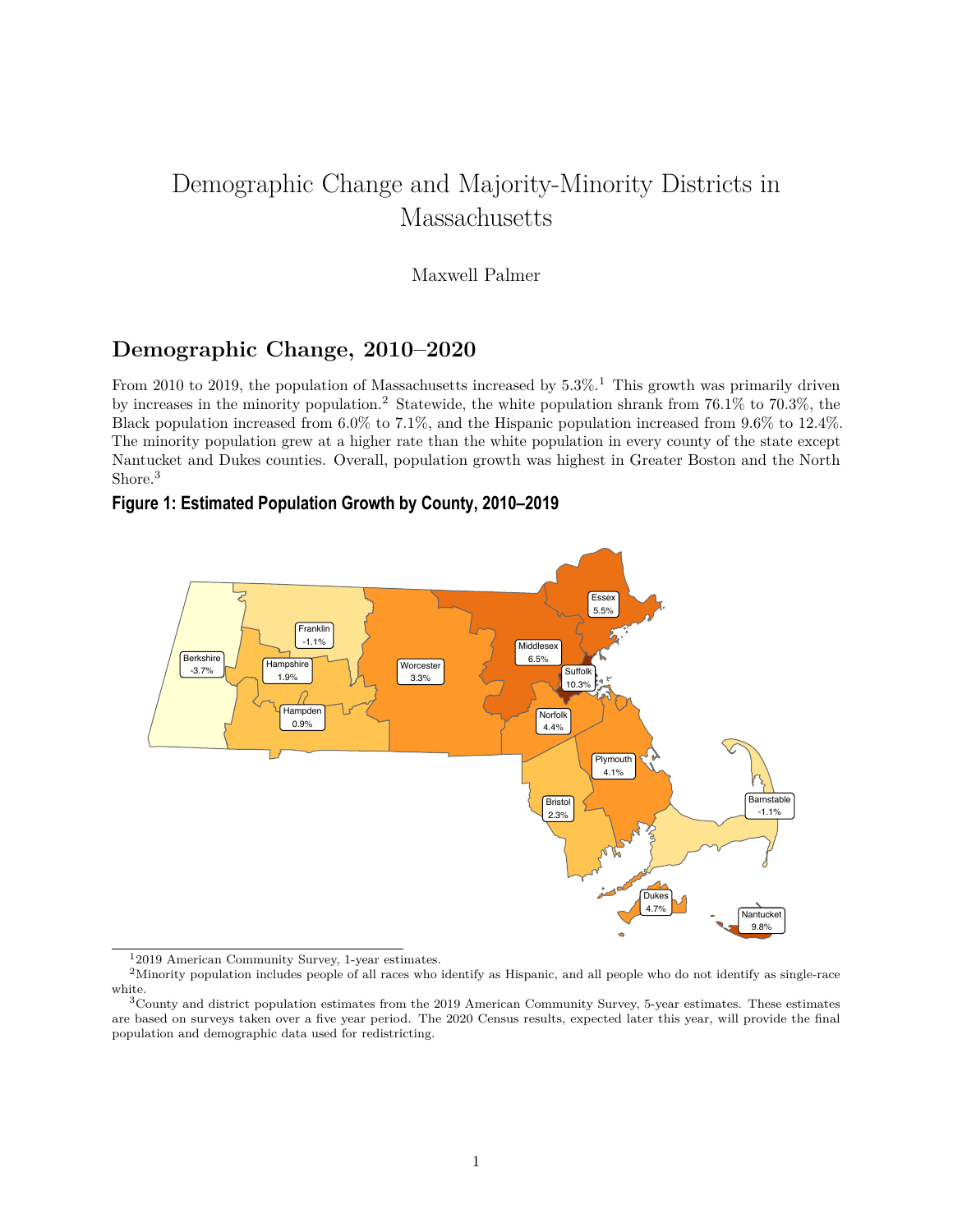# Demographic Change and Majority-Minority Districts in Massachusetts

#### Maxwell Palmer

### **Demographic Change, 2010–2020**

From 20[1](#page-0-0)0 to 2019, the population of Massachusetts increased by  $5.3\%$ .<sup>1</sup> This growth was primarily driven by increases in the minority population.[2](#page-0-1) Statewide, the white population shrank from 76.1% to 70.3%, the Black population increased from 6.0% to 7.1%, and the Hispanic population increased from 9.6% to 12.4%. The minority population grew at a higher rate than the white population in every county of the state except Nantucket and Dukes counties. Overall, population growth was highest in Greater Boston and the North Shore.<sup>[3](#page-0-2)</sup>

#### **Figure 1: Estimated Population Growth by County, 2010–2019**



<span id="page-0-1"></span><span id="page-0-0"></span><sup>1</sup>2019 American Community Survey, 1-year estimates.

<sup>2</sup>Minority population includes people of all races who identify as Hispanic, and all people who do not identify as single-race white.

<span id="page-0-2"></span> $3$ County and district population estimates from the 2019 American Community Survey, 5-year estimates. These estimates are based on surveys taken over a five year period. The 2020 Census results, expected later this year, will provide the final population and demographic data used for redistricting.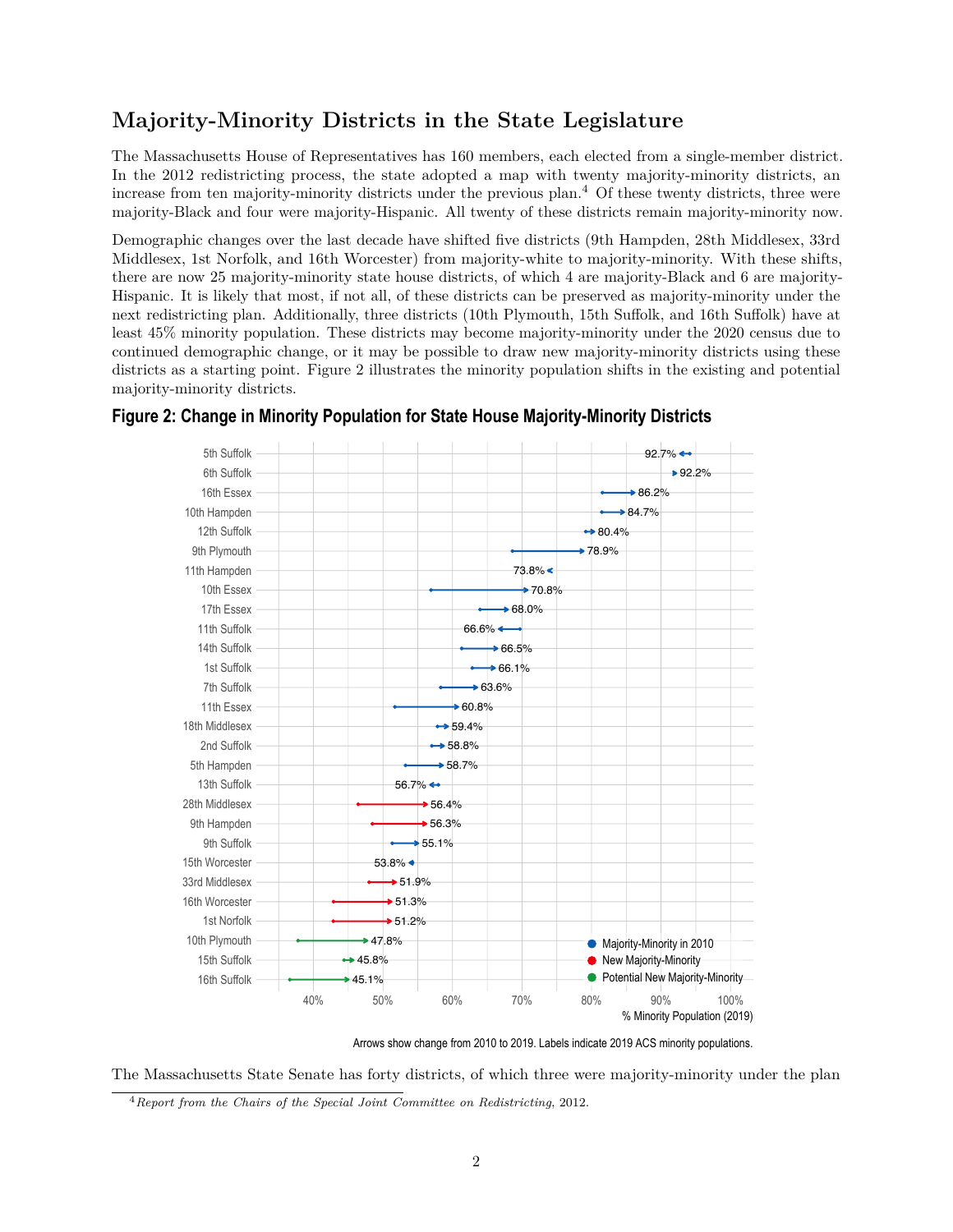## **Majority-Minority Districts in the State Legislature**

The Massachusetts House of Representatives has 160 members, each elected from a single-member district. In the 2012 redistricting process, the state adopted a map with twenty majority-minority districts, an increase from ten majority-minority districts under the previous plan.<sup>[4](#page-1-0)</sup> Of these twenty districts, three were majority-Black and four were majority-Hispanic. All twenty of these districts remain majority-minority now.

Demographic changes over the last decade have shifted five districts (9th Hampden, 28th Middlesex, 33rd Middlesex, 1st Norfolk, and 16th Worcester) from majority-white to majority-minority. With these shifts, there are now 25 majority-minority state house districts, of which 4 are majority-Black and 6 are majority-Hispanic. It is likely that most, if not all, of these districts can be preserved as majority-minority under the next redistricting plan. Additionally, three districts (10th Plymouth, 15th Suffolk, and 16th Suffolk) have at least 45% minority population. These districts may become majority-minority under the 2020 census due to continued demographic change, or it may be possible to draw new majority-minority districts using these districts as a starting point. Figure 2 illustrates the minority population shifts in the existing and potential majority-minority districts.



#### **Figure 2: Change in Minority Population for State House Majority-Minority Districts**

Arrows show change from 2010 to 2019. Labels indicate 2019 ACS minority populations.

The Massachusetts State Senate has forty districts, of which three were majority-minority under the plan

<span id="page-1-0"></span><sup>4</sup>*[Report from the Chairs of the Special Joint Committee on Redistricting](https://malegislature.gov/Content/Documents/Redistricting/Documents/ChairFinalReport.pdf)*, 2012.